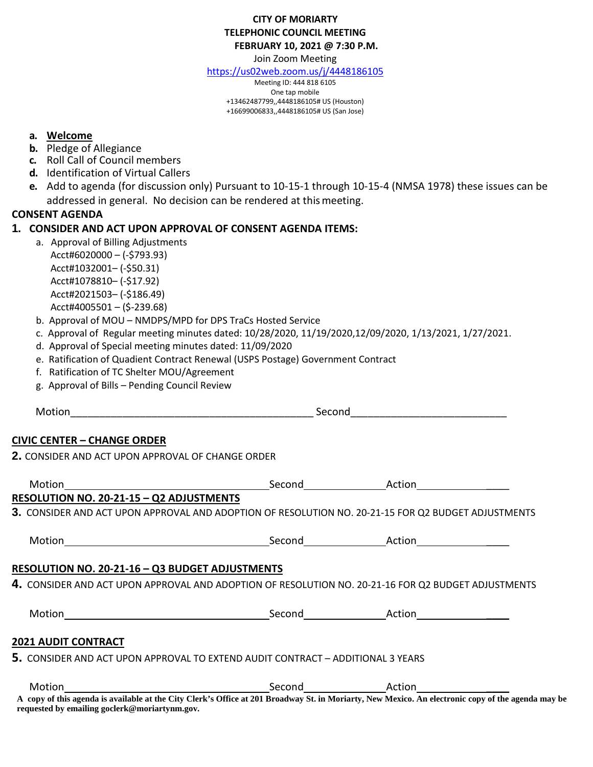# **CITY OF MORIARTY TELEPHONIC COUNCIL MEETING FEBRUARY 10, 2021 @ 7:30 P.M.**

Join Zoom Meeting

<https://us02web.zoom.us/j/4448186105>

Meeting ID: 444 818 6105 One tap mobile +13462487799,,4448186105# US (Houston) +16699006833,,4448186105# US (San Jose)

# **a. Welcome**

- **b.** Pledge of Allegiance
- **c.** Roll Call of Council members
- **d.** Identification of Virtual Callers
- **e.** Add to agenda (for discussion only) Pursuant to 10-15-1 through 10-15-4 (NMSA 1978) these issues can be addressed in general. No decision can be rendered at thismeeting.

# **CONSENT AGENDA**

# **1. CONSIDER AND ACT UPON APPROVAL OF CONSENT AGENDA ITEMS:**

- a. Approval of Billing Adjustments Acct#6020000 – (-\$793.93) Acct#1032001– (-\$50.31) Acct#1078810– (-\$17.92) Acct#2021503– (-\$186.49) Acct#4005501 – (\$-239.68)
- b. Approval of MOU NMDPS/MPD for DPS TraCs Hosted Service
- c. Approval of Regular meeting minutes dated: 10/28/2020, 11/19/2020,12/09/2020, 1/13/2021, 1/27/2021.
- d. Approval of Special meeting minutes dated: 11/09/2020
- e. Ratification of Quadient Contract Renewal (USPS Postage) Government Contract
- f. Ratification of TC Shelter MOU/Agreement
- g. Approval of Bills Pending Council Review

Motion\_\_\_\_\_\_\_\_\_\_\_\_\_\_\_\_\_\_\_\_\_\_\_\_\_\_\_\_\_\_\_\_\_\_\_\_\_\_\_\_\_\_ Second\_\_\_\_\_\_\_\_\_\_\_\_\_\_\_\_\_\_\_\_\_\_\_\_\_\_\_

# **CIVIC CENTER – CHANGE ORDER**

**2.** CONSIDER AND ACT UPON APPROVAL OF CHANGE ORDER

| Motion<br><u> 1980 - Jan Stein Stein Stein Stein Stein Stein Stein Stein Stein Stein Stein Stein Stein Stein Stein Stein S</u> | Second Action |                                                                                                     |  |
|--------------------------------------------------------------------------------------------------------------------------------|---------------|-----------------------------------------------------------------------------------------------------|--|
| RESOLUTION NO. 20-21-15 - Q2 ADJUSTMENTS                                                                                       |               |                                                                                                     |  |
|                                                                                                                                |               | 3. CONSIDER AND ACT UPON APPROVAL AND ADOPTION OF RESOLUTION NO. 20-21-15 FOR Q2 BUDGET ADJUSTMENTS |  |
| Motion                                                                                                                         |               | Second Action Action                                                                                |  |
| RESOLUTION NO. 20-21-16 - Q3 BUDGET ADJUSTMENTS                                                                                |               |                                                                                                     |  |
| 4. CONSIDER AND ACT UPON APPROVAL AND ADOPTION OF RESOLUTION NO. 20-21-16 FOR Q2 BUDGET ADJUSTMENTS                            |               |                                                                                                     |  |
|                                                                                                                                |               | Second Action                                                                                       |  |
| <b>2021 AUDIT CONTRACT</b>                                                                                                     |               |                                                                                                     |  |
|                                                                                                                                |               |                                                                                                     |  |
| 5. CONSIDER AND ACT UPON APPROVAL TO EXTEND AUDIT CONTRACT - ADDITIONAL 3 YEARS                                                |               |                                                                                                     |  |

**A copy of this agenda is available at the City Clerk's Office at 201 Broadway St. in Moriarty, New Mexico. An electronic copy of the agenda may be requested by emailing goclerk@moriartynm.gov.**